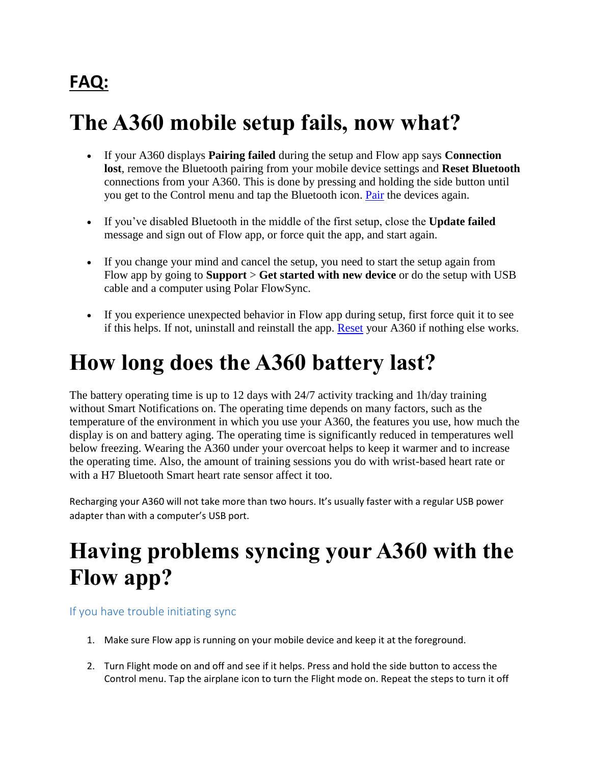#### **FAQ:**

## **The A360 mobile setup fails, now what?**

- If your A360 displays **Pairing failed** during the setup and Flow app says **Connection lost**, remove the Bluetooth pairing from your mobile device settings and **Reset Bluetooth**  connections from your A360. This is done by pressing and holding the side button until you get to the Control menu and tap the Bluetooth icon. [Pair](http://support.polar.com/us-en/support/how_do_i_pair_my_a360_with_the_flow_app) the devices again.
- If you've disabled Bluetooth in the middle of the first setup, close the **Update failed** message and sign out of Flow app, or force quit the app, and start again.
- If you change your mind and cancel the setup, you need to start the setup again from Flow app by going to **Support** > **Get started with new device** or do the setup with USB cable and a computer using Polar FlowSync.
- If you experience unexpected behavior in Flow app during setup, first force quit it to see if this helps. If not, uninstall and reinstall the app. [Reset](http://support.polar.com/us-en/support/how_do_i_reset_my_polar_a360) your A360 if nothing else works.

### **How long does the A360 battery last?**

The battery operating time is up to 12 days with 24/7 activity tracking and 1h/day training without Smart Notifications on. The operating time depends on many factors, such as the temperature of the environment in which you use your A360, the features you use, how much the display is on and battery aging. The operating time is significantly reduced in temperatures well below freezing. Wearing the A360 under your overcoat helps to keep it warmer and to increase the operating time. Also, the amount of training sessions you do with wrist-based heart rate or with a H7 Bluetooth Smart heart rate sensor affect it too.

Recharging your A360 will not take more than two hours. It's usually faster with a regular USB power adapter than with a computer's USB port.

# **Having problems syncing your A360 with the Flow app?**

If you have trouble initiating sync

- 1. Make sure Flow app is running on your mobile device and keep it at the foreground.
- 2. Turn Flight mode on and off and see if it helps. Press and hold the side button to access the Control menu. Tap the airplane icon to turn the Flight mode on. Repeat the steps to turn it off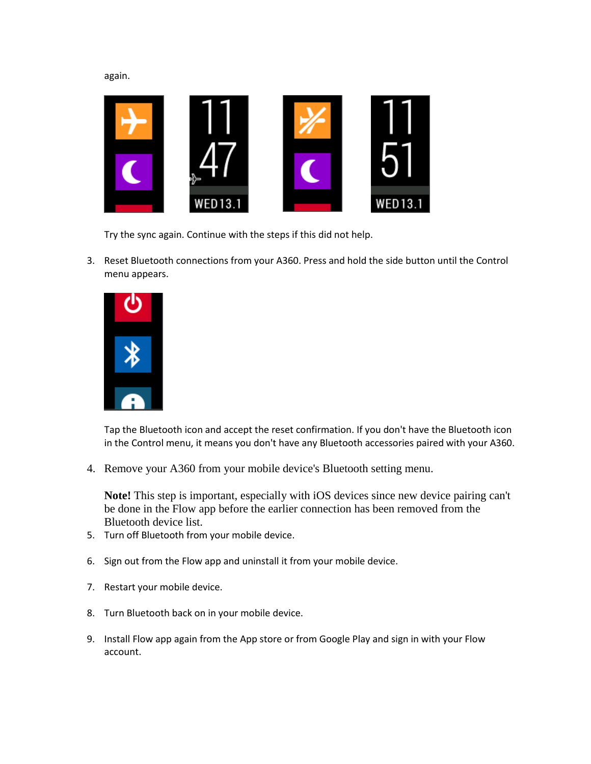again.



Try the sync again. Continue with the steps if this did not help.

3. Reset Bluetooth connections from your A360. Press and hold the side button until the Control menu appears.



Tap the Bluetooth icon and accept the reset confirmation. If you don't have the Bluetooth icon in the Control menu, it means you don't have any Bluetooth accessories paired with your A360.

4. Remove your A360 from your mobile device's Bluetooth setting menu.

**Note!** This step is important, especially with iOS devices since new device pairing can't be done in the Flow app before the earlier connection has been removed from the Bluetooth device list.

- 5. Turn off Bluetooth from your mobile device.
- 6. Sign out from the Flow app and uninstall it from your mobile device.
- 7. Restart your mobile device.
- 8. Turn Bluetooth back on in your mobile device.
- 9. Install Flow app again from the App store or from Google Play and sign in with your Flow account.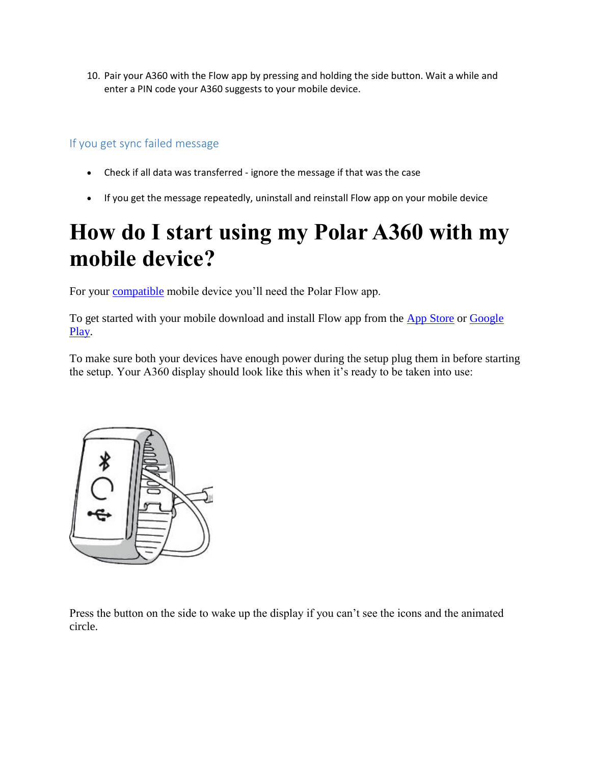10. Pair your A360 with the Flow app by pressing and holding the side button. Wait a while and enter a PIN code your A360 suggests to your mobile device.

#### If you get sync failed message

- Check if all data was transferred ignore the message if that was the case
- If you get the message repeatedly, uninstall and reinstall Flow app on your mobile device

# **How do I start using my Polar A360 with my mobile device?**

For your [compatible](http://www.polar.com/ble) mobile device you'll need the Polar Flow app.

To get started with your mobile download and install Flow app from the [App Store](https://itunes.apple.com/fi/app/polar-flow-activity-sports/id717172678?mt=8) or Google [Play.](https://play.google.com/store/apps/details?id=fi.polar.polarflow)

To make sure both your devices have enough power during the setup plug them in before starting the setup. Your A360 display should look like this when it's ready to be taken into use:



Press the button on the side to wake up the display if you can't see the icons and the animated circle.